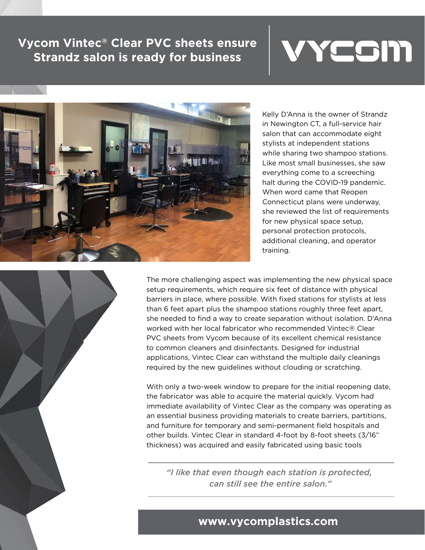## **Vycom Vintec® Clear PVC sheets ensure Strandz salon is ready for business**





Kelly D'Anna is the owner of Strandz in Newington CT, a full-service hair salon that can accommodate eight stylists at independent stations while sharing two shampoo stations. Like most small businesses, she saw everything come to a screeching halt during the COVID-19 pandemic. When word came that Reopen Connecticut plans were underway, she reviewed the list of requirements for new physical space setup, personal protection protocols, additional cleaning, and operator training.



The more challenging aspect was implementing the new physical space setup requirements, which require six feet of distance with physical barriers in place, where possible. With fixed stations for stylists at less than 6 feet apart plus the shampoo stations roughly three feet apart, she needed to find a way to create separation without isolation. D'Anna worked with her local fabricator who recommended Vintec® Clear PVC sheets from Vycom because of its excellent chemical resistance to common cleaners and disinfectants. Designed for industrial applications, Vintec Clear can withstand the multiple daily cleanings required by the new guidelines without clouding or scratching.

With only a two-week window to prepare for the initial reopening date, the fabricator was able to acquire the material quickly. Vycom had immediate availability of Vintec Clear as the company was operating as an essential business providing materials to create barriers, partitions, and furniture for temporary and semi-permanent field hospitals and other builds. Vintec Clear in standard 4-foot by 8-foot sheets (3/16" thickness) was acquired and easily fabricated using basic tools

*"I like that even though each station is protected, can still see the entire salon."*

## **www.vycomplastics.com**